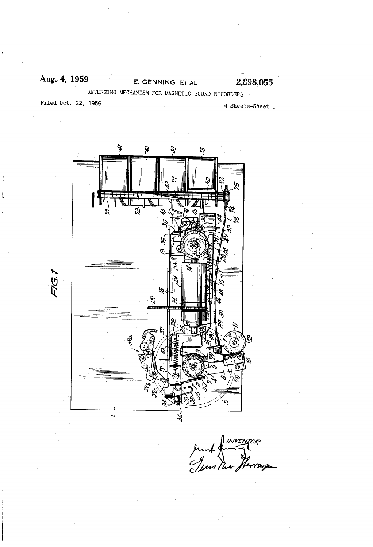### E. GENNING ET AL  $2,898,055$ Aug. 4, 1959 REVERSING MECHANISM FOR MAGNETIC SCUND RECORDERS

Filed Oct. 22, 1956

4 Sheets-Sheet 1



Junt du Berryon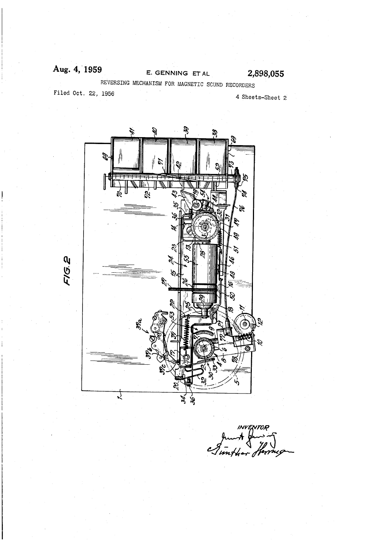#### Aug. 4, 1959 2,898,055 E. GENNING ET AL REVERSING MECHANISM FOR MAGNETIC SCUND RECORDERS

Filed Oct. 22, 1956

4 Sheets-Sheet 2



INVENTOR

FIG.2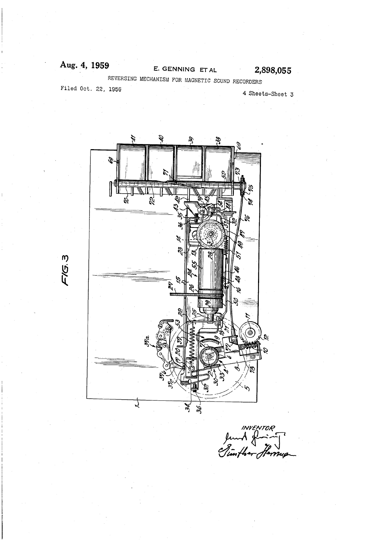# Aug. 4, 1959

## E. GENNING ET AL 2,898,055

REVERSING MECHANISM FOR MAGNETIC SCUND RECORDERS

Filed Oct. 22, 1956

F1G.3

4 Sheets-Sheet 5



INVENTOR<br>Junk grant<br>Timfher Herrup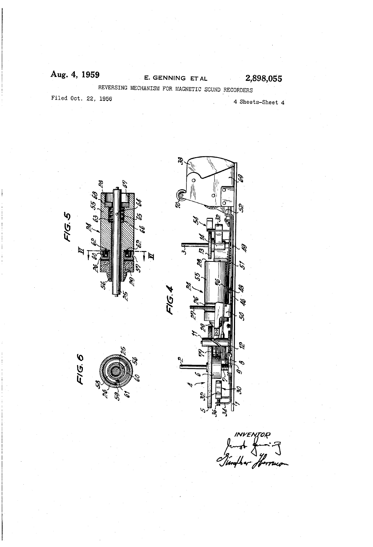## Aug. 4, 1959 E. GENNING ET AL 2,898,055 REVERSING MECHANISM FOR MAGNETIC SCUND RECORDERS Filed Oct. 22, 1956 and the state of the state 4 Sheets-Sheet 4



INVENTOR<br>mot gunning<br>after flerrowan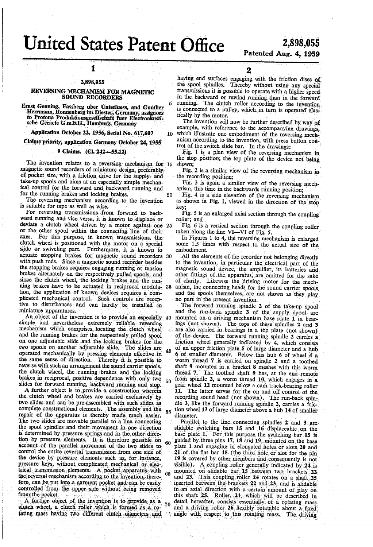# **United States Patent Office**

 $10$ 

#### 2,898,055

1

#### REVERSING MECHANISM FOR MAGNETIC **SOUND RECORDERS**

Ernst Genning, Fassberg uber Unterluess, and Gunther<br>Herrmann, Ronnenberg im Diester, Germany, assignors<br>to Protona Produktionsgesellschaft fuer Electroakustische Geraete G.m.b.H., Hamburg, Germany

Application October 22, 1956, Serial No. 617,607

Claims priority, application Germany October 24, 1955

#### 9 Claims. (Cl. 242-55.12)

The invention relates to a reversing mechanism for 15 magnetic sound recorders of miniature design, preferably of pocket size, with a friction drive for the supply- and take-up spools and aims at an especially simple mechanical control for the forward and backward running and for the running brakes and locking brakes. 20

The reversing mechanism according to the invention is suitable for tape as well as wire.

For reversing transmissions from forward to backward running and vice versa, it is known to displace or deviate a clutch wheel driven by a motor against one 25 or the other spool within the connecting line of their For this purpose, in known transmissions, the axes. clutch wheel is positioned with the motor on a special slide or swiveling part. Furthermore, it is known to actuate stopping brakes for magnetic sound recorders 30 with push rods. Since a magnetic sound recorder besides the stopping brakes requires engaging running or tension brakes alternately on the respectively pulled spools, and since the clutch wheel, the locking brakes and the running brakes have to be actuated in reciprocal modula- 35 tion, the application of known devices requires a complicated mechanical control. Such controls are receptive to disturbances and can hardly be installed in miniature apparatuses.

An object of the invention is to provide an especially 40 simple and nevertheless extremely reliable reversing mechanism which comprises locating the clutch wheel and the running brakes for the respectively pulled spool on one adjustable slide and the locking brakes for the two spools on another adjustable slide. The slides are 45 operated mechanically by pressing elements effective in the same sense of direction. Thereby it is possible to reverse with such an arrangement the sound carrier spools, the clutch wheel, the running brakes and the locking brakes in reciprocal, positive dependence with only two  $50$ slides for forward running, backward running and stop.

A further object is to provide a construction wherein the clutch wheel and brakes are carried exclusively by two slides and can be pre-assembled with such slides as complete constructional elements. The assembly and the  $55$ repair of the apparatus is thereby made much easier. The two slides are movable parallel to a line connecting the spool spindles and their movement in one direction is determined by pressure springs and in the other direction by pressure elements. It is therefore possible on account of the parallel movement of the two slides to control the entire reversal transmission from one side of the device by pressure elements such as, for instance, pressure keys, without complicated mechanical or electrical transmission elements. A pocket apparatus with  $65$ the reversal mechanism according to the invention, therefore, can be put into a garment pocket and can be easily controlled from the upper side without being removed from the pocket.

A further object of the invention is to provide as a  $70$ clutch wheel, a clutch roller which is formed as a rotating mass having two different clutch diameters and

 $\mathbf 2$ 

having end surfaces engaging with the friction discs of the spool spindles. Thereby without using any special transmissions it is possible to operate with a higher speed in the backward or rewind running than in the forward running. The clutch roller according to the invention is connected to a pulley, which in turn is operated elastically by the motor.

The invention will now be further described by way of example, with reference to the accompanying drawings, which illustrate one embodiment of the reversing mechanism according to the invention, with press button control of the switch slide bar. In the drawings:<br>Fig. 1 is a plan view of the reversing mechanism in

the stop position; the top plate of the device not being shown:

Fig. 2 is a similar view of the reversing mechanism in the recording position;

Fig. 3 is again a similar view of the reversing mechanism, this time in the backwards running position;

Fig. 4 is a side elevation of the reversing mechanism as shown in Fig. 1, viewed in the direction of the stop kev:

Fig. 5 is an enlarged axial section through the coupling roller: and

Fig. 6 is a vertical section through the coupling roller taken along the line VI-VI of Fig. 5.

In Figures 1 to 4, the reversing mechanism is enlarged some 1.5 times with respect to the actual size of the embodiment.

All the elements of the recorder not belonging directly to the invention, in particular the electrical part of the magnetic sound device, the amplifier, its batteries and other fittings of the apparatus, are omitted for the sake of clarity. Likewise the driving motor for the mechanism, the connecting heads for the sound carrier spools and the spools themselves, are not shown as they play

no part in the present invention.

The forward running spindle 2 of the take-up spool and the run-back spindle 3 of the supply spool are mounted on a driving mechanism base plate 1 in bearings (not shown). The tops of these spindles 2 and 3 are also carried in bearings in a top plate (not shown) of the device. The forward running spindle 2 carries a friction wheel generally indicated by 4, which consists of an upper friction plate 5 of large diameter and a hub 6 of smaller diameter. Below this hub 6 of wheel 4 a worm thread 7 is carried on spindle 2 and a toothed shaft 9 mounted in a bracket 8 meshes with this worm thread 7. The toothed shaft 9 has, at the end remote from spindle 2, a worm thread 10, which engages in a gear wheel 12 mounted below a cam track-bearing roller 11. The latter serves for the on and off control of the recording sound head (not shown). The run-back spindle 3, like the forward running spindle 2, carries a friction wheel 13 of large diameter above a hub 14 of smaller diameter.

Parallel to the line connecting spindles 2 and 3 are slidable switching bars 15 and 16 displaceable on the base plate 1. For this purpose the switching bar 15 is guided by three pins 17, 18 and 19, mounted on the base plate 1 and engaging in elongated holes or slots 20 and 21 of the flat bar 15 (the third hole or slot for the pin 19 is covered by other members and consequently is not visible). A coupling roller generally indicated by 24 is mounted on slidable bar 15 between two brackets 22<br>and 23. This coupling roller 24 rotates on a shaft 25 inserted between the brackets 22 and 23, and is slidable in an axial direction with a certain amount of play on this shaft 25. Roller, 24, which will be described in detail hereafter, consists essentially of a rotating mass and a driving roller 26 flexibly rotatable about a fixed angle with respect to this rotating mass. The driving

## 2,898,055 Patented Aug. 4, 1959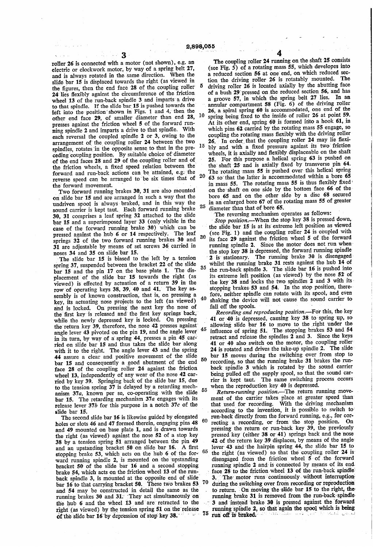roller 26 is connected with a motor (not shown), e.g. an electric or clockwork motor, by way of a spring belt 27, and is always rotated in the same direction. When the slide bar 15 is displaced towards the right (as viewed' in the figures, then the end face 28 of the coupling roller 24 lies flexibly against the circumference of the friction wheel 13 of the run-back spindle 3 and imparts a drive to that spindle. If the slide bar 15 is pushed towards the' left into the position shown in Figs. 1 and 4, then the other end face 29, of smaller diameter than end 28, presses against the friction wheel 5 of the forward running spindle 2 and imparts a drive to that spindle. With each reversal the coupled spindle 2 or 3, owing to'the arrangement of the coupling roller 24 between the two spindles, rotates in the opposite sense to that in the preceding 'coupling position, By suitable choice'of'diameter of the end faces 28 and 29 of the coupling roller and of, the friction wheels, a fixed speed relation between the forward and run-back actions can be attained, e.g. the reverse speed can be arranged to be six times that of 10 15 20

the forward movement.<br>Two forward running brakes 30, 31 are also mounted on slide bar 15 and are arranged in such a way that the undriven spool is always-braked, and in this Way the sound carrier is kept taut. Each forward running brake 30, 31 comprises a leaf spring 32 attached to the slide case of the forward running brake 30) which can be pressed against the hub 6 or 14 respectively. The leaf springs 32 of the two forward running brakes 30 and 31 are adjustable by means of set screws 36 carried in noses 34 and 35 on slide bar 15. 25 30

The slide bar 15 is biased to the left by a tension spring 37, suspended between the bracket 22 of the slide bar 15 and the pin 17 on the base plate 1. The dis placement'of the slide bar 15 towards the right (as viewed) is effected by actuation of a return  $39$  in the row of operating keys  $38$ ,  $39$ ,  $40$  and  $41$ . The key assembly is of known construction, that is, on pressing a key, its actuating nose projects to the left (as viewed) and is locked. On pressing the next key the nose of the first key is released and the first key springs back, while the newly depressed key is locked. On pressing the return key 39, therefore, the nose 42 presses against angle lever 43 pivoted on the pin 19, and the angle lever in its turn, by way of a spring 44, presses a pin 45 carried on slide bar 15 and thus takes the slide bar along with it to the right. The angle lever 43 and the spring 44 assure a clear and positive movement of the slide bar 15 and consequently a good abutment of the end face 28 of the coupling roller 24 against the friction wheel 13, independently of any wear of the nose 42 carried by key 39. Springing back of the slide bar 15, due to the tension spring 37 is delayed by a retarding mech anism 37a, known per se, co~operating with the slide bar 15. The retarding mechanism  $37a$  engages with its 35 40 45 50 55 release lever  $37b$  for this purpose in a notch  $37c$  of the

slide bar 15.<br>The second slide bar 16 is likewise guided by elongated holes or slots 46 and 47 formed therein, engaging pins 48 and 49 mounted on'base plate 1, and is drawn towards the right (as viewed) against the nose 52 of a stop key 38 by a tension spring 51 arranged between the'pin 49 and an upstanding bracket 50 on slide bar 16. A first stopping brake 53, which acts on the hub 6 of the for-'ward' running spindle 2, is mounted on "the'upstanding bracket 50 of the slide bar 16 and a second stopping<br>brake 54, which acts on the friction wheel 13 of the runback spindle 3, is mounted at the opposite end of slide bar 16 to that carrying bracket 50. These two brakes 53 and 54 may be constructed' in detail the same as the running brakes 30 and 31. They act simultaneously on the hub 6 and the wheel 13 and are retracted to the right (as viewed) by the tension spring 51 on the release of the slide bar 16 by depression of stop key 38. 60 65 70 4

The coupling roller 24 running on the shaft 25 consists (see Fig. 5) of a rotating mass 55, which developes into a reduced section 56 at one end, on which reduced section the driving roller 26 is rotatably mounted. The driving roller  $26$  is located axially by the abutting face of a bush 29 pressed on the reduced section 56, and has a groove 57, in which the spring belt 27 lies. In an annular compartment 58 (Fig.  $6$ ) of the driving roller 26, a spiral spring 60 is accommodated, one end of the spring being fixed to the inside of roller 26 at point 59. At its other end, spring 60 is formed into a hook 61, in which pins 62 carried by the rotating mass 55 engage, so coupling the rotating mass flexibly with the driving roller 26. In order that the coupling roller 24 may lie flexibly and with a fixed pressure against its two friction wheels, it is axially and flexibly displaceable on the shaft 25. For this purpose a helical spring 63 is pushed on the shaft 25 and is axially fixed by transverse pin 64. The rotating mass 55 is pushed over this helical spring <sup>63</sup>' so'that the latter is accommodated within a bore 65 in mass 55. The rotating mass 55 is thus flexibly fixed on the'shaft' on one side by the bottom face 66 of the bore 65 and on the other side by a disc 68 secured in an enlarged bore 67 of the rotating mass 55 of greater diameter than that of bore 65.

'The reversing mechanism operates as follows:

Stop position.---When the stop key 38 is pressed down, the slide bar 15' is at its extreme left position as viewed (see Fig. l) and the coupling roller 24 is coupled with its face 29 against the friction wheel 5 of the forward running spindle 2. Since the motor does not run when the stop key 38 is depressed, the forward running spindle 2 is stationary. The running brake 30 is disengaged whilst the running brake  $31$  rests against the hub  $14$  of the run-back spindle 3. The slide bar 16 is pushed into its extreme left position (as viewed) by the nose 52' of the key'38 and-locks the two spindles 2 and 3 with its' stopping brakes 53 and 54. In the stop position, there-<br>fore, neither spindle can rotate with its spool, and even shaking the device will not cause the sound- carrier to fall off the spools.

Recording and reproducing position.—For this, the key ' 41 or '40'is depressed, causing key 38 to-spring up, so allowing slide bar 16 to move to the right under the influence of spring  $51$ . The stopping brakes 53 and 54 retract and release the spindles 2 and 3. Since the keys 41 or 40 also switch on the motor, the coupling roller' 24 is rotated and drives the take-up spindle 2. The slide bar 15 moves'during the switching over from stop to recording, so that the running brake 31 brakes the runback spindle 3 which is rotated by the sound carrier being pulled off the supply spool, so that the sound carrier is kept taut. The same switching process occurs when the reproduction key 40 is depressed.<br>Return-running position.—The return running move-

ment of the carrier takes place at greater speed than that used for recording. With the driving mechanism according to the invention, it is possible to switch to run-back directly from the forward running, e.g., for corface 28 to the friction wheel 13 of the run-back spindle recting a recording, or from the stop position. On pressing the return or run-back key 39, the previously pressed key (either 38 or 41) springs back and the nose 42 of the return key 39 displaces, by means of the angle lever'43 and-the hairpin'spring 44, the slide bar 15 to the right (as viewed) so that the coupling roller  $24$  is disengaged from the friction' wheel 5' of the forward running spindle 2 and is connected by means of its end. The motor runs continuously without interruption during the switching over from recording or reproduction to return. On moving the slide bar 15 to the right, the running brake 31 is removed from the run-back spindle 3 and instead brake 30 is pressed against the forward running spindle 2, so that again the spool which is being  $75$  run off is braked.